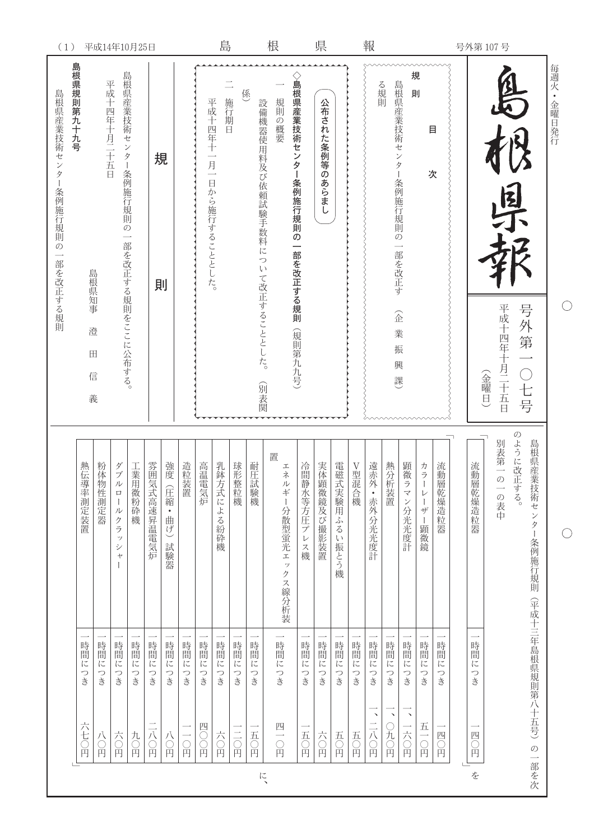|             | 每週火·金曜日発行                                             |                                                               |                   |                                   |
|-------------|-------------------------------------------------------|---------------------------------------------------------------|-------------------|-----------------------------------|
|             | 号外第一〇七号                                               | $\mathcal{O}$<br>ように改正する。<br>島根県産業技術センター条例施行規則                | (平成十三年島根県規則第八十五号) | の一部を次                             |
| 号外第107号     | 国才<br>平成十四年十月二十五日                                     | 別表第一の<br>一の表中                                                 |                   |                                   |
|             | (金曜日)                                                 | 流動層乾燥造粒器                                                      | 時間につき             | 四〇円                               |
|             |                                                       |                                                               |                   |                                   |
|             |                                                       | 流動<br>層乾燥造粒器                                                  | 時間につき             | 四〇円                               |
|             | 目<br>次                                                | カラ<br>$\, \nu$<br>ーザー顕微鏡                                      | 時間につき             | $\overline{\mathrm{h}}$<br>二〇円    |
|             | 規<br>則                                                | 顕微<br>ラマン分光光度計                                                | 時間につき             | $\overline{\phantom{a}}$<br>一六○円  |
|             | 島根県産業技術センター条例施行規則の一部を改正す<br>企<br>業<br>振<br>興<br>課     | 熱分析装置                                                         | 時間につき             | $\boldsymbol{\checkmark}$<br>○九○円 |
| 報           | る規則                                                   | 遠赤外·赤外分光光度計                                                   | 時間につき             | $\overline{\phantom{a}}$<br>二八〇円  |
|             |                                                       | V型混合機                                                         | 時間に<br>つき         | 五〇円                               |
|             |                                                       | 電磁式実験用ふるい振とう機                                                 | 時間につき             | 五〇円                               |
| 県           | 公布された条例等のあらまし                                         | 実体顕微鏡及び撮影装置                                                   | 時間につき             | 六〇円                               |
|             |                                                       | 冷間静水等方圧プレ<br>ス機                                               | 時間に<br>つき         | 五〇円                               |
| 根           | ◇島根県産業技術センタ<br>規則の概要<br>ー条例施行規則の一部を改正する規則<br>(規則第九九号) | 置<br>エネ<br>ルギー<br>-分散型蛍光ェックス線分析装                              | 時間につき             | 四<br>一〇円                          |
|             | 設備機器使用料及び依頼試験手数料について改正することとした。<br>(別表関                | 耐圧<br>試験機                                                     | 時間につき             | 五〇円                               |
|             | 係                                                     | 球形整粒機                                                         | 時間につき             | 三〇円                               |
| 島           | 施行期日                                                  | 乳鉢方式による紛砕機                                                    | 時間につき             | 六〇円                               |
|             | 平成十四年十<br>一月一<br>日から施行することとした。                        | 高温<br>電気炉                                                     | 時間につき             | 四〇円                               |
|             |                                                       | 造粒装置                                                          | 時間に<br>つき         | $\bigcap_{i=1}^{n}$               |
|             |                                                       | 強度<br>(圧縮・曲げ)<br>試験器                                          | 時間につき             | 八〇円                               |
|             | 規<br>則                                                | 雰囲<br>気式高速昇温電気炉                                               | 時間に<br>っき         | 二八〇円                              |
|             |                                                       | 工業用微粉砕機                                                       | 時間につき             | 九〇円                               |
|             | 島根県産業技術センター条例施行規則の<br>一部を改正する規則をここに公布する。              | ダブ<br>$\mathcal{V}$<br>$\Box$<br>ールクラッ<br>$\dot{v}$<br>$\div$ | 時間につき             | 六〇円                               |
| 平成14年10月25日 | 平成十四年十月二十五日                                           | 粉体<br>物性測定器                                                   | 時間に<br>つき         | 八〇円                               |
|             | 島根県規則第九十九号<br>島根県知事<br>澄<br>田<br>信<br>義               | 熱伝導率測定装置                                                      | 時間につき             | 六七〇円                              |
| (1)         | 島根県産業技術センター条例施行規則の一部を改正する規則                           |                                                               |                   |                                   |
|             |                                                       |                                                               |                   |                                   |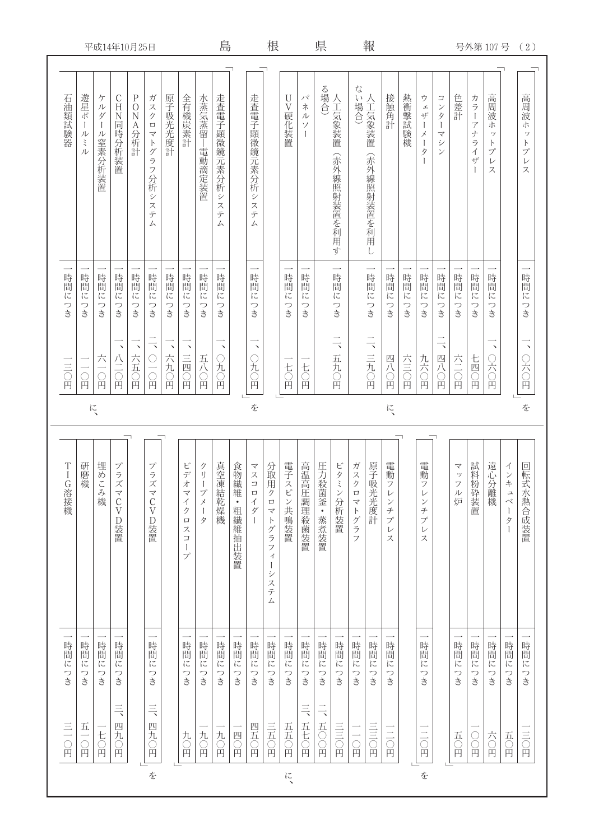| 平成14年10月25日   |                                |                                          |                            |                                |                                                                |                      |                                                                            | 島                                                                       |                                         |                | 根                                   |                                                                          |                      | 県                        |                              |                                           | 報             |                                   |                       |        |                                                                                                      |                                                                   | 号外第 107号                                         |                                                                                                   |                                                                         | (2)                                                                       |                                                                                                                      |
|---------------|--------------------------------|------------------------------------------|----------------------------|--------------------------------|----------------------------------------------------------------|----------------------|----------------------------------------------------------------------------|-------------------------------------------------------------------------|-----------------------------------------|----------------|-------------------------------------|--------------------------------------------------------------------------|----------------------|--------------------------|------------------------------|-------------------------------------------|---------------|-----------------------------------|-----------------------|--------|------------------------------------------------------------------------------------------------------|-------------------------------------------------------------------|--------------------------------------------------|---------------------------------------------------------------------------------------------------|-------------------------------------------------------------------------|---------------------------------------------------------------------------|----------------------------------------------------------------------------------------------------------------------|
| 石油類試験器        | 遊星ボ<br>$\mathbf{I}$<br>ル<br>ミル | ケ<br>ル<br>ダ<br>$\overline{1}$<br>ル窒素分析装置 | CHN同時分析装置                  | $\rm P$<br>$\bigcirc$<br>NA分析計 | ガ<br>スクロ<br>マトグラフ<br>分析シ<br>$\overline{\mathcal{X}}$<br>テ<br>Δ | 原子吸光光度計              | 全有機炭素計                                                                     | 水蒸気蒸留<br>-電動滴定装置                                                        | 走査電子顕微鏡元素分析シ<br>$\mathcal{Z}$<br>テ<br>厶 |                | 走査電子顕微鏡元素分析シ<br>$\lambda$<br>テ<br>厶 |                                                                          | $\mathbf U$<br>V硬化装置 | パネル<br>ソ<br>$\mathbf{I}$ | る場合)                         | 人工気象装置<br>(赤外線照射装置を利用す                    | な<br>。い場合)    | 人工気象装置<br>(赤外線照射装置を利用し            | 接触角計                  | 熱衝擊試験機 | ウ<br>$\mathbbmss{1}$<br>ザ<br>$\mathbf{I}$<br>$\!\!$<br>$\mathord{\textsf{I}}$<br>タ<br>$\overline{1}$ | $\Box$<br>ンタ<br>$\mathsf I$<br>$\overline{\mathcal{F}}$<br>シ<br>ン | 色差計                                              | カラー<br>$\overline{\mathcal{F}}$<br>$\overline{f}$<br>ライザ<br>$\begin{array}{c} \hline \end{array}$ | 高周波<br>ホ<br>ッ<br>$\vdash$<br>$\mathcal{I}^{\circ}$<br>$\mathcal V$<br>ス |                                                                           | 高周波ホ<br>$\dot{\mathcal{Y}}$<br>$\ensuremath{\mathop{\upharpoonright}}$<br>$\mathcal{I}^{\circ}$<br>$\mathcal V$<br>ス |
| 時間につき         | 時間に<br>つき                      | 時間に<br>つき                                | 時間に<br>つき                  | 時間に<br>つき                      | 時間につき                                                          | 時間に<br>つき            | 時間に<br>つき                                                                  | 時間に<br>つき                                                               | 時間に<br>つき                               |                | 時間<br>$\overline{C}$<br>つき          |                                                                          | 時間に<br>つき            | 時間<br>に<br>つき            |                              | $\overline{\phantom{0}}$<br>時間<br>に<br>つき |               | $\overline{\phantom{0}}$<br>時間につき | 時間に<br>つき             | 時間につき  | 時間に<br>つき                                                                                            | 時間に<br>つき                                                         | 時間に<br>つき                                        | 時間につき                                                                                             | 時間に<br>つき                                                               |                                                                           | 時間につき                                                                                                                |
| 二三〇円          | $\bigcirc$ <sub>H</sub>        | 六<br>日                                   | $\checkmark$<br>八二〇円       | 六五<br>一つ円                      | $\overline{\phantom{a}}$<br>$\frac{1}{10}$                     | $\checkmark$<br>六九〇円 | $\boldsymbol{\mathcal{N}}$<br>三四〇円                                         | 五八〇円                                                                    | $\checkmark$<br>○九〇円                    |                | $\lambda$<br>元〇円                    |                                                                          | 七〇円                  | 七〇円                      |                              | $\overline{\phantom{a}}$<br>五九〇円          |               | $\frac{1}{2}$<br>三九〇円             | 四八〇円                  | 六三〇円   | 九六〇円                                                                                                 | $\overline{\phantom{a}}$<br>四八〇円                                  | 六三〇円                                             | 七四〇円                                                                                              | $\checkmark$<br>○六○円                                                    |                                                                           | $\boldsymbol{\mathcal{N}}$<br>○六〇円                                                                                   |
| を<br>に、<br>に、 |                                |                                          |                            |                                |                                                                |                      |                                                                            |                                                                         |                                         |                | を                                   |                                                                          |                      |                          |                              |                                           |               |                                   |                       |        |                                                                                                      |                                                                   |                                                  |                                                                                                   |                                                                         |                                                                           |                                                                                                                      |
| TIG溶接機        | 研磨機                            | 埋めこ<br>こみ機                               | プラズ<br>マ<br>C<br>V<br>·D装置 |                                | プ<br>テズ<br>$\prec$<br>$\frac{C}{V}$<br>D装置                     |                      | ビデオ<br>$\overline{\mathcal{F}}$<br>$\overline{\Lambda}$<br>・クロ<br>スコー<br>プ | クリー<br>$\mathcal{I}^c$<br>$\overline{\mathcal{X}}$<br>$\mathsf{l}$<br>タ | 真空凍結乾燥機                                 | 食物繊維 • 粗繊維抽出装置 | マスコ<br>$\Box$<br>イダー                | 分取用クロマトグラフ<br>$\preceq$<br>$\vert$<br>シ<br>ステ<br>$\overline{\mathbb{A}}$ | 電子スピン共鳴装置            | 高温高圧調理殺菌装置               | 圧力殺菌釜 • 蒸煮装置                 | ビタミ<br>ン分析装置                              | ガスク<br>ロマトグラフ | 原子吸光光度計                           | 電動フ<br>レ<br>ンチプレ<br>ス |        | 電動フ<br>$\mathcal V$<br>$\checkmark$<br>チプレ<br>ス                                                      |                                                                   | $\prec$<br>$\mathcal{Y}$<br>$\overline{z}$<br>ル炉 | 試料粉砕装置                                                                                            | 遠心分離機                                                                   | インキ<br>$\mathfrak{a}$<br>$\mathord{\curvearrowright}$<br>$\mathsf I$<br>タ | 回転式水熱合成装置                                                                                                            |
| 時間につき         | 時間につき                          | 時間に<br>つき                                | 時間につき                      |                                | 時間に<br>つき                                                      |                      | 時間につき                                                                      | 時間につき                                                                   | 時間に<br>つき                               | 時間につき          | 時間につき                               | 時間につき                                                                    | 時間につき                | 時間につき                    | 時間につき                        | 時間に<br>つき                                 | 時間につき         | 時間につき                             | 時間につき                 |        | 時間につき                                                                                                |                                                                   | 時間につき                                            | 時間につき                                                                                             | 時間につき                                                                   | 時間につき                                                                     | 時間につき                                                                                                                |
| 三〇円           | 五一<br>一〇円                      | 七〇円                                      | $\equiv$<br>四九〇円           |                                | $\equiv$<br>四九〇円<br>$\dot{\tilde{\mathcal{Z}}}$                |                      | 九〇円                                                                        | 九〇円                                                                     | 九〇円                                     | 四〇円            | 四五〇円                                | 三五〇円                                                                     | 五五〇円<br>に、           | $\equiv$<br>五七〇円         | $\frac{1}{\sqrt{2}}$<br>五〇〇円 | 三〇円                                       | 一〇円           | 三三〇円                              | 二〇円                   |        | 二〇円<br>を                                                                                             |                                                                   | 五〇円                                              | $\bigcirc$<br>$\bigcirc$                                                                          | 六〇円                                                                     | 五〇円                                                                       | 三〇円                                                                                                                  |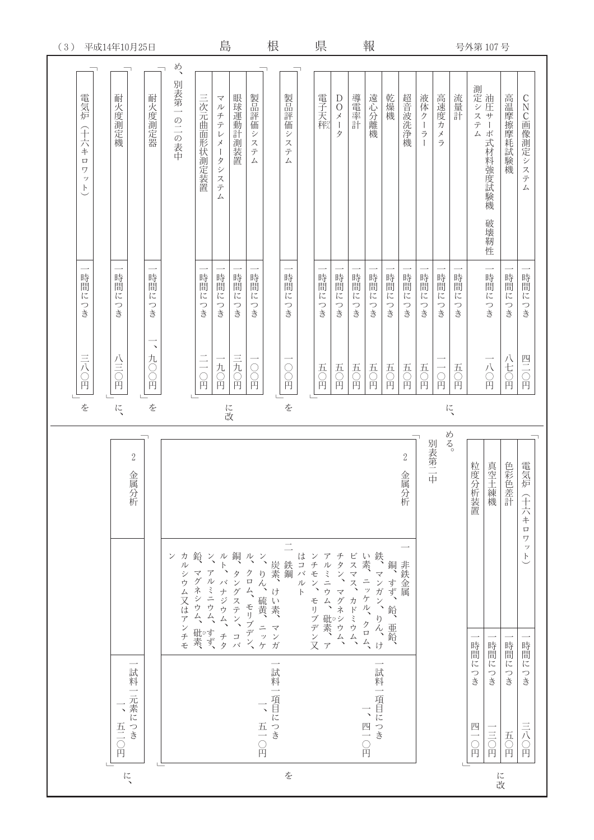| (3)                                                                        | 平成14年10月25日                                                     |                   |                 |                                         | 島                                                                                 |           |                                                                 | 根                       |                                           |       | 県                    |                                                                          |             | 報                          |                      |                            |                       |                                                    |                                       | 号外第107号                    |           |                              |                                                  |
|----------------------------------------------------------------------------|-----------------------------------------------------------------|-------------------|-----------------|-----------------------------------------|-----------------------------------------------------------------------------------|-----------|-----------------------------------------------------------------|-------------------------|-------------------------------------------|-------|----------------------|--------------------------------------------------------------------------|-------------|----------------------------|----------------------|----------------------------|-----------------------|----------------------------------------------------|---------------------------------------|----------------------------|-----------|------------------------------|--------------------------------------------------|
| 電気炉<br>(十六キ<br>$\Box$<br>$\overline{y}$<br>$\mathcal{Y}$<br>$\overline{C}$ | 耐火度測定機                                                          | 耐火度測定器            | め、<br>別表第一の二の表中 | 三次元曲面形状測定装置                             | $\prec$<br>ル<br>チテレ<br>$\!\! \! \! \! \! \! \! \! \times \,$<br>ータシステ<br>$\angle$ | 眼球運動計測装置  | 製品評価システ<br>$\angle$                                             |                         | 製品評価システ<br>$\sqrt{ }$                     |       | 電子天秤                 | $\bigcirc$<br>$\,\vec{\varkappa}$<br>$\begin{array}{c} \end{array}$<br>タ | 導電率計        | 遠心分離機                      | 乾燥機                  | 超音波洗净機                     | 液体クーラ<br>$\mathbf{I}$ | 高速度カ<br>$\!\! \! \! \! \! \! \! \! \times \,$<br>ラ | 流量計                                   | 測定システード<br>ステム サーボ式材料強度試験機 | 破壊靭性      | 高温摩擦摩耗試験機                    | $\mathsf{C}$<br>NC画像測定システ<br>$\overline{\Delta}$ |
| 時間<br>$\overline{C}$<br>つき                                                 | 時間<br>$i\zeta$<br>つき                                            | 時間<br>汇<br>つき     |                 | 時間<br>$\overline{\mathfrak{l}}$<br>つき   | 時間に<br>つき                                                                         | 時間に<br>つき | 時間<br>$\overline{C}$<br>つき                                      |                         | 時間<br>$\overline{\mathfrak{l}}$<br>つき     |       | 時間<br>$i\zeta$<br>つき | 時間<br>记<br>つき                                                            | 時間に<br>つき   | 時間<br>$\overline{C}$<br>つき | 時間<br>$i\zeta$<br>つき | 時間<br>$\overline{C}$<br>つき | 時間に<br>つき             | 時間<br>$i\leq$<br>つき                                | 時間<br>$\overline{\mathfrak{l}}$<br>つき |                            | 時間に<br>つき | 時間<br>$i\zeta$<br>つき         | 時間<br>$\overline{\mathfrak{l}}$<br>つき            |
| 三八〇円                                                                       | 八三〇円                                                            | $\lambda$<br>九〇〇円 |                 | $\equiv$<br>Ċ<br>再                      | 一九〇円                                                                              | 三九〇円      | $\begin{array}{c} \bigcirc \\ \bigcirc \\ \bigcirc \end{array}$ |                         | $\begin{matrix} 0 \\ 0 \end{matrix}$<br>Ě |       | 五〇円                  | 五〇円                                                                      | 五〇円         | 五〇円                        | 五〇円                  | 五〇円                        | 五〇円                   | $\bigcirc_{H}$                                     | 五<br>$\bigcirc$                       |                            | 一八〇円      | 八七〇円                         | 四二〇円                                             |
| を                                                                          | に、                                                              | を                 |                 |                                         |                                                                                   | に改        |                                                                 |                         | を                                         |       |                      |                                                                          |             |                            |                      |                            |                       |                                                    | に、                                    |                            |           |                              |                                                  |
|                                                                            | $\sqrt{2}$<br>金属分析                                              |                   | ン               |                                         |                                                                                   | 銅         | $\frac{1}{2}$                                                   |                         | 鉄鋼                                        |       |                      |                                                                          |             | 鉄<br>い素                    | 銅                    | $\overline{2}$<br>金属分析     |                       | める。<br>別表第二中                                       |                                       | 粒度分<br><b>7析装置</b>         | 真空土練機     | 色彩色差計                        | 電気炉<br>(十六キ<br>$\Box$<br>ワ<br>$\ddot{y}$<br>F    |
|                                                                            |                                                                 |                   | カルシウム又はアンチモ     | 鉛、マグネシウム、砒素、<br>ン、アルミニウム、すず、ルト、バナジウム、チタ |                                                                                   | タングステン、コバ | クロム、モリブデン、                                                      | ン、りん、硫黄、ニッケ(炭素、けい素、マンガ) |                                           | はコバルト | ンチモン、モリブデン又          | アルミニウム、砒素、アチタン、マグネシウム、                                                   | ビスマス、カドミウム、 | 、ニッケル、クロム、マンガン、りん、け        | すず、鉛、亜鉛、             | 非鉄金属                       |                       |                                                    |                                       | 時間                         | 時間に       | 時間                           | 時間                                               |
|                                                                            | 試料<br>元素につき<br>$\overline{\phantom{0}}$<br>$\frac{1}{\sqrt{2}}$ |                   |                 |                                         |                                                                                   |           |                                                                 | 試料一<br>項目につき            |                                           |       |                      |                                                                          |             | 一試料一<br>項目につき              |                      |                            |                       |                                                    |                                       | $\overline{l}$<br>つき<br>四  | つき        | $l\mathop{\mathsf{C}}$<br>つき | に<br>つき                                          |
|                                                                            | Ă                                                               |                   |                 |                                         |                                                                                   |           | 五〇円                                                             |                         |                                           |       |                      |                                                                          |             | 四一〇円                       |                      |                            |                       |                                                    |                                       | $\Omega$                   | 三〇円       | 五〇円                          | 三八〇円                                             |
|                                                                            | に、                                                              |                   |                 |                                         |                                                                                   |           |                                                                 |                         | を                                         |       |                      |                                                                          |             |                            |                      |                            |                       |                                                    |                                       |                            | に改        |                              |                                                  |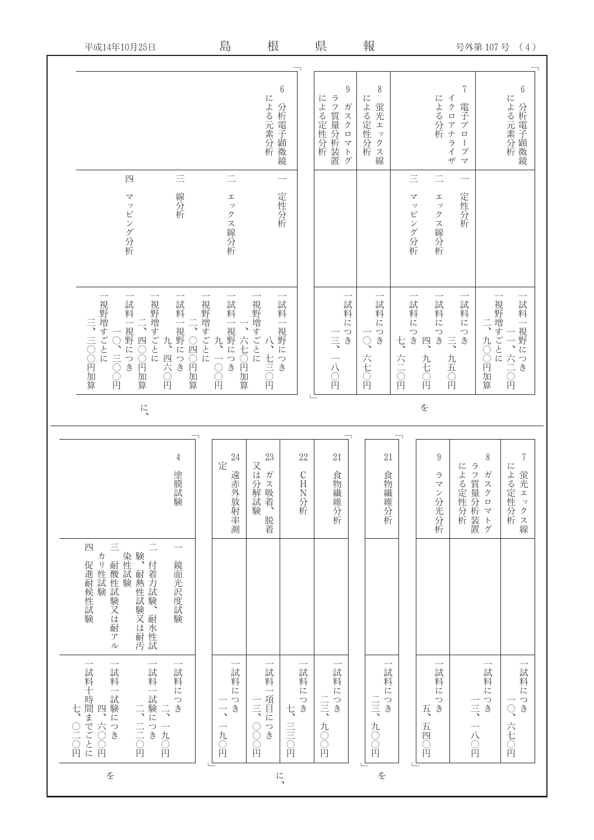|        | 平成14年10月25日                                                                        |                                              | 島                                         | 根                           |                                     | 県                                                  | 報                               |                                                            | 号外第107号                                                         | (4)                                                 |
|--------|------------------------------------------------------------------------------------|----------------------------------------------|-------------------------------------------|-----------------------------|-------------------------------------|----------------------------------------------------|---------------------------------|------------------------------------------------------------|-----------------------------------------------------------------|-----------------------------------------------------|
|        | 四<br>マッピング分析                                                                       | $\equiv$<br>線分析                              | $\equiv$<br>エックス線分析                       | による元素分析                     | $\boldsymbol{6}$<br>分析電子顕微鏡<br>定性分析 | $\boldsymbol{9}$<br>ラフ質量分析装置<br>による定性分析<br>ガスクロマトグ | 8<br>による定性分析<br>蛍光エックス線         | による分析<br>$\equiv$<br>$\prec$<br>$\bot$<br>ッピング分析<br>ックス線分析 | 7<br>イクロアナライザ<br>電子プロ<br>$\mathord{\restriction}$<br>ブマ<br>定性分析 | $\boldsymbol{6}$<br>による元素分析                         |
|        | 視野増すごとに<br>試料一視野につき<br>視野増すごとに<br>三、三〇〇円加算<br>二、四○○円加算<br>O、三〇〇円<br>$l\zeta$       | 試料一視野につき<br>視野増すごとに<br>二、○四○円加算<br>九<br>四六〇円 | 試料一視野につき<br>六七〇円加算<br>九<br>一〇日            | 視野増すごとに<br>八、七三〇円           | 試料一視野につき                            | 試料につき<br>$\equiv$<br>一八〇円                          | 試料につき<br>$\overline{Q}$<br>六七〇円 | 試料につき<br>試料につき<br>四<br>ち<br>六三〇円<br>九七〇円<br>を              | 試料につき<br>$\frac{-}{\beta}$<br>九〇〇円加算<br>$\equiv$<br>九五〇円        | 視野増すごとに<br>試料一視野につき<br>$\ddot{\phantom{1}}$<br>六二〇円 |
|        |                                                                                    |                                              |                                           |                             |                                     |                                                    |                                 |                                                            |                                                                 |                                                     |
|        |                                                                                    | $\overline{4}$<br>塗膜試験                       | 24<br>定<br>遠赤外放射率測                        | 23<br>又は分解試験<br>ガス吸着、<br>脱着 | 22<br>CHN分析                         | 21<br>食物繊維分析                                       | 21<br>食物繊維分析                    | $\boldsymbol{9}$<br>ラマ<br>ン分光分析                            | 8<br>ラフ質量分析装置<br>による定性分析<br>ガスクロマトグ                             | $\sqrt{ }$<br>による定性分析<br>蛍光エッ<br>クス線                |
|        | $\equiv$<br>四<br>験、耐熱性試験又は耐汚一 付着力試験、耐水性試<br>染性試験<br>カリ性試験<br>耐酸性試験又は耐アル<br>促進耐候性試験 | 鏡面光沢度試験                                      |                                           |                             |                                     |                                                    |                                 |                                                            |                                                                 |                                                     |
| 七、〇二〇円 | 一試料一試験につき<br>試料十時間までごとに<br>試料一試験につき<br>二、三〇円<br>四、六〇〇円                             | 試料につき<br>$\Rightarrow$<br>一九〇円               | 試料につき<br>$\overline{\phantom{a}}$<br>一九〇円 | 試料一項目につき<br>三三<br>OOD<br>円  | 試料につき<br>ち<br>三三〇円                  | 試料につき<br>三三<br>九〇〇円                                | 試料につき<br>三三<br>九〇円              | 試料につき<br>乓<br>五四〇円                                         | 試料につき<br>$\equiv$<br>一八〇円                                       | 試料につき<br>$\bigcirc$<br>六七〇円                         |
|        | を                                                                                  |                                              |                                           | に、                          |                                     |                                                    | を                               |                                                            |                                                                 |                                                     |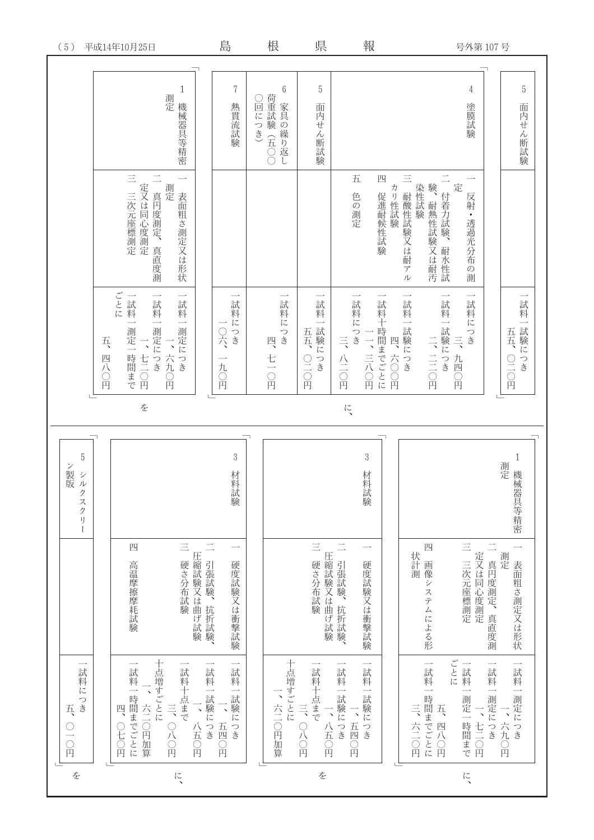| を  | 試料につき<br>乓<br>○一〇円                                                              |                                                                                     | $\mathbf 5$<br>ン製版<br>版<br>ク<br>スクリ |    |                                                                                                |                                                                                         |                                        | (5)         |
|----|---------------------------------------------------------------------------------|-------------------------------------------------------------------------------------|-------------------------------------|----|------------------------------------------------------------------------------------------------|-----------------------------------------------------------------------------------------|----------------------------------------|-------------|
| に、 | 十点増すごとに<br>試料一時間までごとに<br>試料十点まで<br>六二〇円加算<br>三、〇八〇円<br>八五〇円<br>)<br>七<br>〇<br>Ă | $\equiv$<br>四<br>圧縮試験又は曲げ試験、「引張試験、抗折試験、<br>硬さ分布試験<br>高温摩擦摩耗試験                       |                                     | を  | ごとに<br>一試料一測定につき<br>一試料一測定につき<br>一試料一測定一<br>兵<br>一、六九〇円<br>一時間まで<br>一<br>四八〇円                  | $\equiv$<br>二 三次元座標測定<br>真円度測定、真直度測<br>測定<br>表面粗さ測定又は形状                                 | $\mathbf{1}$<br>測定<br>機械器具等精密          | 平成14年10月25日 |
|    | 一試料一試験につき<br>試料一試験につき<br>五四〇円                                                   | 硬度試験又は衝撃試験                                                                          | $\,3$<br>材料試験                       |    | 試料につき<br>一〇六<br>九〇円                                                                            |                                                                                         | 7<br>熱貫流試験                             | 島           |
|    | 十点増すごとに<br>、六二〇円加算                                                              |                                                                                     |                                     |    | 試料につき<br>四<br>七一〇円                                                                             |                                                                                         | $\boldsymbol{6}$<br>荷重試験 (五○○<br>回につき) | 根           |
| を  | 一試料十点まで<br>三、〇八〇円<br>一、八五〇円                                                     | $\equiv$<br>硬さ分布試験                                                                  |                                     |    | 試料一試験につき<br>五五<br>$\frac{1}{10}$                                                               |                                                                                         | $5\,$<br>面内せん断試験                       | 県           |
|    | 一試料一試験につき<br>試料一試験につき<br>、五四〇円                                                  | □圧縮試験又は曲げ試験、<br>硬度試験又は衝撃試験                                                          | $\sqrt{3}$<br>材料試験                  | に、 | 一試料につき<br>試料十時間までごとに<br>三八二〇円<br>一、三八〇円<br>六〇〇円                                                | 五<br>四<br>促進耐候性試験<br>色の測定                                                               |                                        | 鞦           |
| に、 | ごとに<br>一試料一測定一時間まで<br>一試料一時間までごとに<br>一試料一測定につき<br>五、四八〇円<br>三、六二〇円              | $\equiv$<br>四<br>一 真円度測定、真直度測<br>二 三次元座標測定<br>状計測<br>測定<br>画像システムによる形<br>表面粗さ測定又は形状 | $\mathbf{1}$<br>測定<br>機械器具等精密       |    | 一試料一試験につき<br>試料一試験につき<br>試料につき<br>試料一試験につき<br>五五<br>二、三〇円<br>$\equiv$<br>四<br>九四〇<br>○二〇円<br>再 | $\equiv$<br>■験、耐熱性試験又は耐汚11 付着力試験、耐水性試<br>定<br>染性試験<br>カリ性試験<br>耐酸性試験又は耐アル<br>反射・透過光分布の測 | $5\,$<br>4<br>塗膜試験<br>面内せん断試験          | 号外第 107 号   |
|    |                                                                                 |                                                                                     |                                     |    |                                                                                                |                                                                                         |                                        |             |